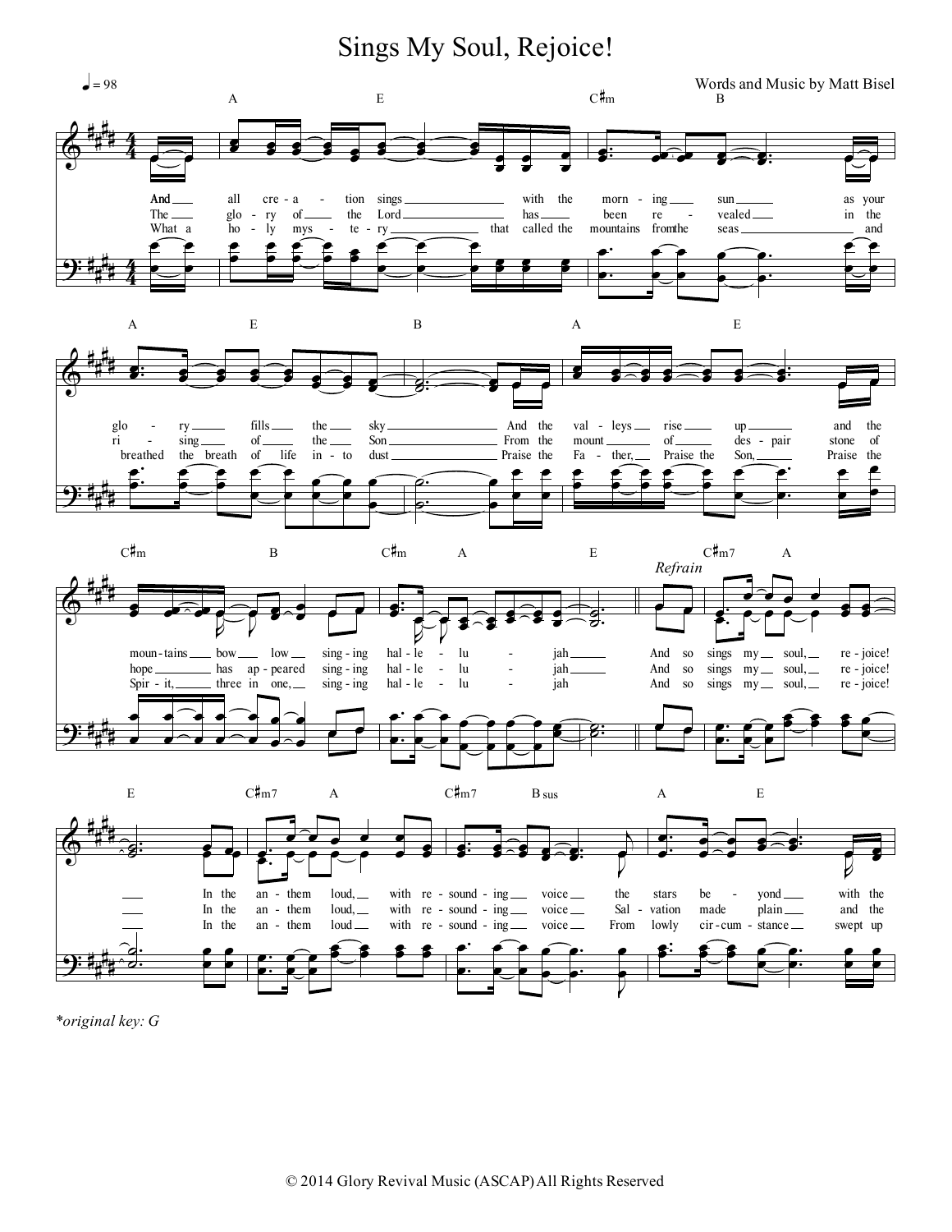Sings My Soul, Rejoice!



\*original key: G